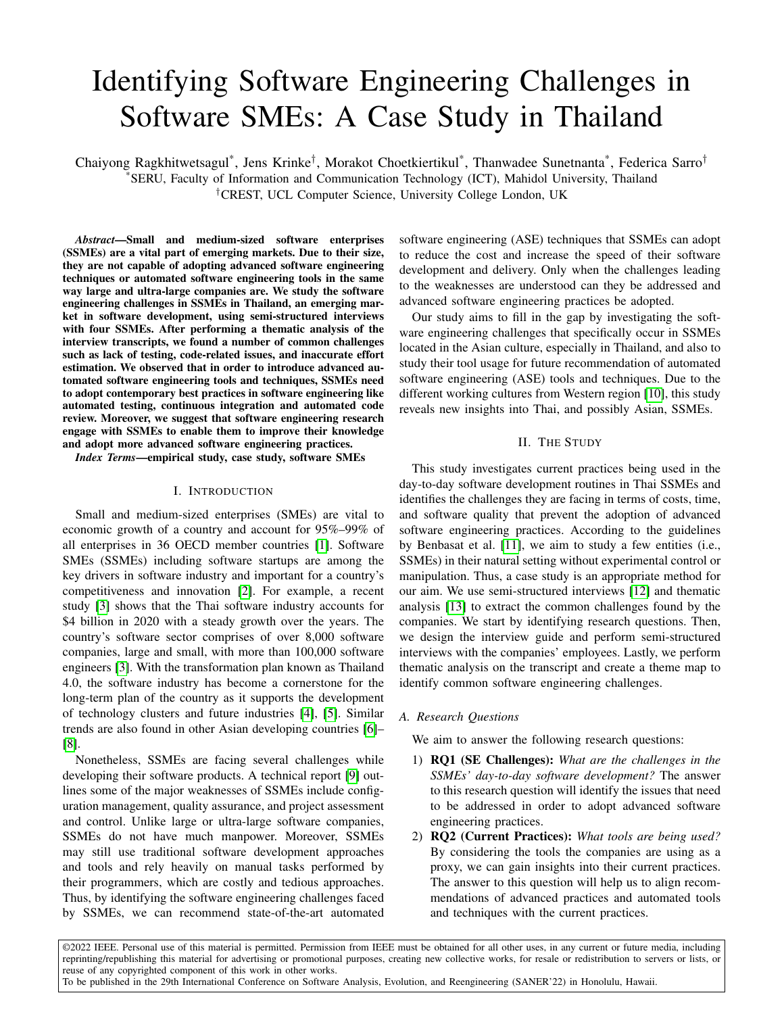# Identifying Software Engineering Challenges in Software SMEs: A Case Study in Thailand

Chaiyong Ragkhitwetsagul<sup>\*</sup>, Jens Krinke<sup>†</sup>, Morakot Choetkiertikul<sup>\*</sup>, Thanwadee Sunetnanta<sup>\*</sup>, Federica Sarro<sup>†</sup> \*SERU, Faculty of Information and Communication Technology (ICT), Mahidol University, Thailand †CREST, UCL Computer Science, University College London, UK

*Abstract*—Small and medium-sized software enterprises (SSMEs) are a vital part of emerging markets. Due to their size, they are not capable of adopting advanced software engineering techniques or automated software engineering tools in the same way large and ultra-large companies are. We study the software engineering challenges in SSMEs in Thailand, an emerging market in software development, using semi-structured interviews with four SSMEs. After performing a thematic analysis of the interview transcripts, we found a number of common challenges such as lack of testing, code-related issues, and inaccurate effort estimation. We observed that in order to introduce advanced automated software engineering tools and techniques, SSMEs need to adopt contemporary best practices in software engineering like automated testing, continuous integration and automated code review. Moreover, we suggest that software engineering research engage with SSMEs to enable them to improve their knowledge and adopt more advanced software engineering practices.

*Index Terms*—empirical study, case study, software SMEs

#### I. INTRODUCTION

Small and medium-sized enterprises (SMEs) are vital to economic growth of a country and account for 95%–99% of all enterprises in 36 OECD member countries [\[1\]](#page-4-0). Software SMEs (SSMEs) including software startups are among the key drivers in software industry and important for a country's competitiveness and innovation [\[2\]](#page-4-1). For example, a recent study [\[3\]](#page-4-2) shows that the Thai software industry accounts for \$4 billion in 2020 with a steady growth over the years. The country's software sector comprises of over 8,000 software companies, large and small, with more than 100,000 software engineers [\[3\]](#page-4-2). With the transformation plan known as Thailand 4.0, the software industry has become a cornerstone for the long-term plan of the country as it supports the development of technology clusters and future industries [\[4\]](#page-4-3), [\[5\]](#page-4-4). Similar trends are also found in other Asian developing countries [\[6\]](#page-4-5)– [\[8\]](#page-4-6).

Nonetheless, SSMEs are facing several challenges while developing their software products. A technical report [\[9\]](#page-4-7) outlines some of the major weaknesses of SSMEs include configuration management, quality assurance, and project assessment and control. Unlike large or ultra-large software companies, SSMEs do not have much manpower. Moreover, SSMEs may still use traditional software development approaches and tools and rely heavily on manual tasks performed by their programmers, which are costly and tedious approaches. Thus, by identifying the software engineering challenges faced by SSMEs, we can recommend state-of-the-art automated software engineering (ASE) techniques that SSMEs can adopt to reduce the cost and increase the speed of their software development and delivery. Only when the challenges leading to the weaknesses are understood can they be addressed and advanced software engineering practices be adopted.

Our study aims to fill in the gap by investigating the software engineering challenges that specifically occur in SSMEs located in the Asian culture, especially in Thailand, and also to study their tool usage for future recommendation of automated software engineering (ASE) tools and techniques. Due to the different working cultures from Western region [\[10\]](#page-4-8), this study reveals new insights into Thai, and possibly Asian, SSMEs.

## II. THE STUDY

This study investigates current practices being used in the day-to-day software development routines in Thai SSMEs and identifies the challenges they are facing in terms of costs, time, and software quality that prevent the adoption of advanced software engineering practices. According to the guidelines by Benbasat et al. [\[11\]](#page-4-9), we aim to study a few entities (i.e., SSMEs) in their natural setting without experimental control or manipulation. Thus, a case study is an appropriate method for our aim. We use semi-structured interviews [\[12\]](#page-4-10) and thematic analysis [\[13\]](#page-4-11) to extract the common challenges found by the companies. We start by identifying research questions. Then, we design the interview guide and perform semi-structured interviews with the companies' employees. Lastly, we perform thematic analysis on the transcript and create a theme map to identify common software engineering challenges.

## *A. Research Questions*

We aim to answer the following research questions:

- 1) RQ1 (SE Challenges): *What are the challenges in the SSMEs' day-to-day software development?* The answer to this research question will identify the issues that need to be addressed in order to adopt advanced software engineering practices.
- 2) RQ2 (Current Practices): *What tools are being used?* By considering the tools the companies are using as a proxy, we can gain insights into their current practices. The answer to this question will help us to align recommendations of advanced practices and automated tools and techniques with the current practices.

©2022 IEEE. Personal use of this material is permitted. Permission from IEEE must be obtained for all other uses, in any current or future media, including reprinting/republishing this material for advertising or promotional purposes, creating new collective works, for resale or redistribution to servers or lists, or reuse of any copyrighted component of this work in other works. To be published in the 29th International Conference on Software Analysis, Evolution, and Reengineering (SANER'22) in Honolulu, Hawaii.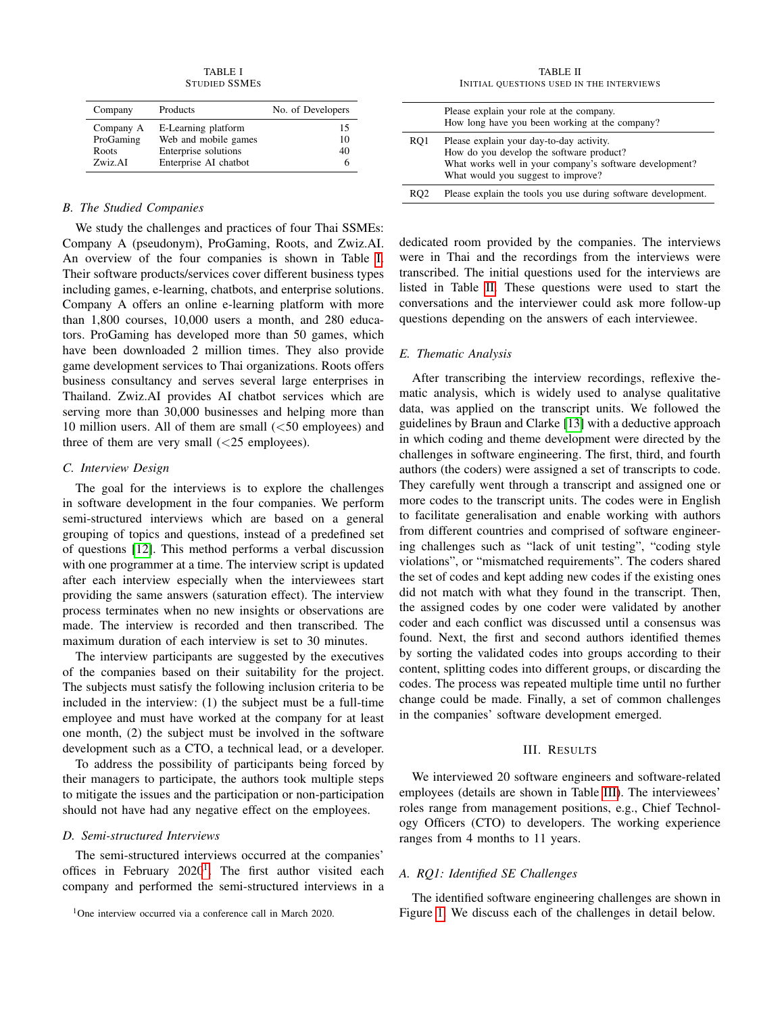TABLE I STUDIED SSMES

<span id="page-1-0"></span>

| Company            | Products                                     | No. of Developers |
|--------------------|----------------------------------------------|-------------------|
| Company A          | E-Learning platform                          | 15                |
| ProGaming<br>Roots | Web and mobile games<br>Enterprise solutions | 10<br>40          |
| Zwiz AI            | Enterprise AI chatbot                        | h                 |

## *B. The Studied Companies*

We study the challenges and practices of four Thai SSMEs: Company A (pseudonym), ProGaming, Roots, and Zwiz.AI. An overview of the four companies is shown in Table [I.](#page-1-0) Their software products/services cover different business types including games, e-learning, chatbots, and enterprise solutions. Company A offers an online e-learning platform with more than 1,800 courses, 10,000 users a month, and 280 educators. ProGaming has developed more than 50 games, which have been downloaded 2 million times. They also provide game development services to Thai organizations. Roots offers business consultancy and serves several large enterprises in Thailand. Zwiz.AI provides AI chatbot services which are serving more than 30,000 businesses and helping more than 10 million users. All of them are small  $(<50$  employees) and three of them are very small  $(<25$  employees).

#### *C. Interview Design*

The goal for the interviews is to explore the challenges in software development in the four companies. We perform semi-structured interviews which are based on a general grouping of topics and questions, instead of a predefined set of questions [\[12\]](#page-4-10). This method performs a verbal discussion with one programmer at a time. The interview script is updated after each interview especially when the interviewees start providing the same answers (saturation effect). The interview process terminates when no new insights or observations are made. The interview is recorded and then transcribed. The maximum duration of each interview is set to 30 minutes.

The interview participants are suggested by the executives of the companies based on their suitability for the project. The subjects must satisfy the following inclusion criteria to be included in the interview: (1) the subject must be a full-time employee and must have worked at the company for at least one month, (2) the subject must be involved in the software development such as a CTO, a technical lead, or a developer.

To address the possibility of participants being forced by their managers to participate, the authors took multiple steps to mitigate the issues and the participation or non-participation should not have had any negative effect on the employees.

# *D. Semi-structured Interviews*

The semi-structured interviews occurred at the companies' offices in February  $2020<sup>1</sup>$  $2020<sup>1</sup>$  $2020<sup>1</sup>$ . The first author visited each company and performed the semi-structured interviews in a

TABLE II INITIAL QUESTIONS USED IN THE INTERVIEWS

<span id="page-1-2"></span>

|                 | Please explain your role at the company.<br>How long have you been working at the company?                                                                                            |
|-----------------|---------------------------------------------------------------------------------------------------------------------------------------------------------------------------------------|
| RO <sub>1</sub> | Please explain your day-to-day activity.<br>How do you develop the software product?<br>What works well in your company's software development?<br>What would you suggest to improve? |
| RO <sub>2</sub> | Please explain the tools you use during software development.                                                                                                                         |

dedicated room provided by the companies. The interviews were in Thai and the recordings from the interviews were transcribed. The initial questions used for the interviews are listed in Table [II.](#page-1-2) These questions were used to start the conversations and the interviewer could ask more follow-up questions depending on the answers of each interviewee.

#### *E. Thematic Analysis*

After transcribing the interview recordings, reflexive thematic analysis, which is widely used to analyse qualitative data, was applied on the transcript units. We followed the guidelines by Braun and Clarke [\[13\]](#page-4-11) with a deductive approach in which coding and theme development were directed by the challenges in software engineering. The first, third, and fourth authors (the coders) were assigned a set of transcripts to code. They carefully went through a transcript and assigned one or more codes to the transcript units. The codes were in English to facilitate generalisation and enable working with authors from different countries and comprised of software engineering challenges such as "lack of unit testing", "coding style violations", or "mismatched requirements". The coders shared the set of codes and kept adding new codes if the existing ones did not match with what they found in the transcript. Then, the assigned codes by one coder were validated by another coder and each conflict was discussed until a consensus was found. Next, the first and second authors identified themes by sorting the validated codes into groups according to their content, splitting codes into different groups, or discarding the codes. The process was repeated multiple time until no further change could be made. Finally, a set of common challenges in the companies' software development emerged.

#### III. RESULTS

We interviewed 20 software engineers and software-related employees (details are shown in Table [III\)](#page-2-0). The interviewees' roles range from management positions, e.g., Chief Technology Officers (CTO) to developers. The working experience ranges from 4 months to 11 years.

#### *A. RQ1: Identified SE Challenges*

The identified software engineering challenges are shown in Figure [1.](#page-2-1) We discuss each of the challenges in detail below.

<span id="page-1-1"></span> $1$ One interview occurred via a conference call in March 2020.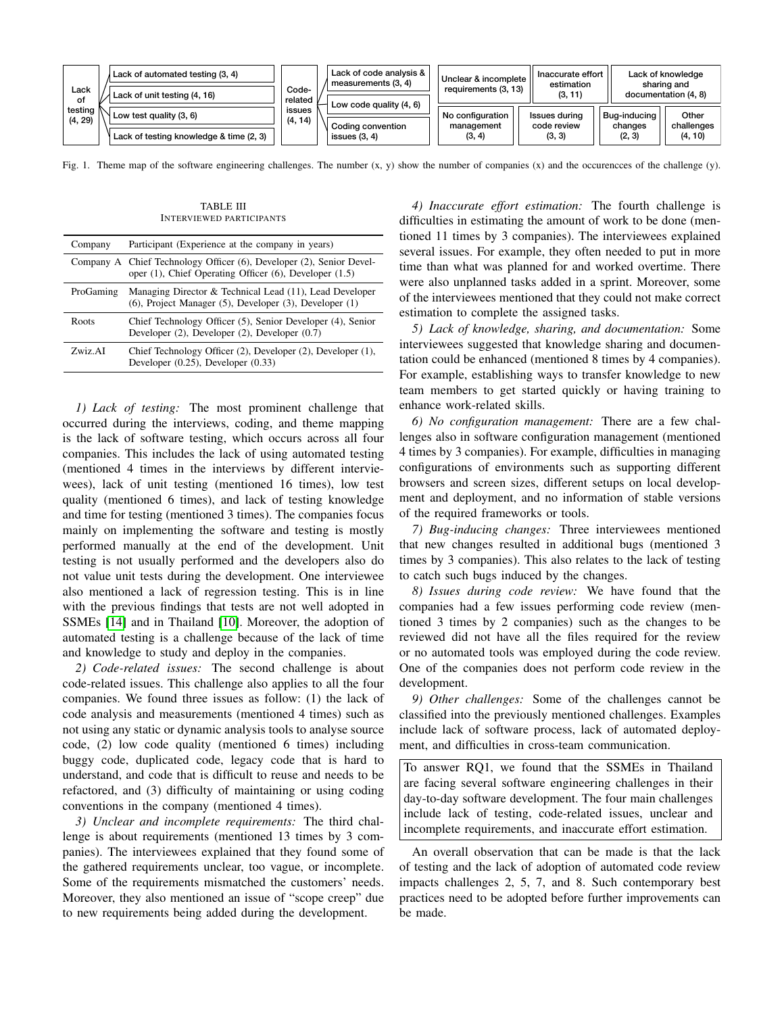

<span id="page-2-1"></span>Fig. 1. Theme map of the software engineering challenges. The number  $(x, y)$  show the number of companies  $(x)$  and the occurences of the challenge  $(y)$ .

<span id="page-2-0"></span>

| Company   | Participant (Experience at the company in years)                                                                               |
|-----------|--------------------------------------------------------------------------------------------------------------------------------|
|           | Company A Chief Technology Officer (6), Developer (2), Senior Devel-<br>oper (1), Chief Operating Officer (6), Developer (1.5) |
| ProGaming | Managing Director & Technical Lead (11), Lead Developer<br>$(6)$ , Project Manager $(5)$ , Developer $(3)$ , Developer $(1)$   |
| Roots     | Chief Technology Officer (5), Senior Developer (4), Senior<br>Developer $(2)$ , Developer $(2)$ , Developer $(0.7)$            |
| Zwiz AI   | Chief Technology Officer (2), Developer (2), Developer (1),<br>Developer $(0.25)$ , Developer $(0.33)$                         |

TABLE III INTERVIEWED PARTICIPANTS

*1) Lack of testing:* The most prominent challenge that occurred during the interviews, coding, and theme mapping is the lack of software testing, which occurs across all four companies. This includes the lack of using automated testing (mentioned 4 times in the interviews by different interviewees), lack of unit testing (mentioned 16 times), low test quality (mentioned 6 times), and lack of testing knowledge and time for testing (mentioned 3 times). The companies focus mainly on implementing the software and testing is mostly performed manually at the end of the development. Unit testing is not usually performed and the developers also do not value unit tests during the development. One interviewee also mentioned a lack of regression testing. This is in line with the previous findings that tests are not well adopted in SSMEs [\[14\]](#page-4-12) and in Thailand [\[10\]](#page-4-8). Moreover, the adoption of automated testing is a challenge because of the lack of time and knowledge to study and deploy in the companies.

*2) Code-related issues:* The second challenge is about code-related issues. This challenge also applies to all the four companies. We found three issues as follow: (1) the lack of code analysis and measurements (mentioned 4 times) such as not using any static or dynamic analysis tools to analyse source code, (2) low code quality (mentioned 6 times) including buggy code, duplicated code, legacy code that is hard to understand, and code that is difficult to reuse and needs to be refactored, and (3) difficulty of maintaining or using coding conventions in the company (mentioned 4 times).

*3) Unclear and incomplete requirements:* The third challenge is about requirements (mentioned 13 times by 3 companies). The interviewees explained that they found some of the gathered requirements unclear, too vague, or incomplete. Some of the requirements mismatched the customers' needs. Moreover, they also mentioned an issue of "scope creep" due to new requirements being added during the development.

*4) Inaccurate effort estimation:* The fourth challenge is difficulties in estimating the amount of work to be done (mentioned 11 times by 3 companies). The interviewees explained several issues. For example, they often needed to put in more time than what was planned for and worked overtime. There were also unplanned tasks added in a sprint. Moreover, some of the interviewees mentioned that they could not make correct estimation to complete the assigned tasks.

*5) Lack of knowledge, sharing, and documentation:* Some interviewees suggested that knowledge sharing and documentation could be enhanced (mentioned 8 times by 4 companies). For example, establishing ways to transfer knowledge to new team members to get started quickly or having training to enhance work-related skills.

*6) No configuration management:* There are a few challenges also in software configuration management (mentioned 4 times by 3 companies). For example, difficulties in managing configurations of environments such as supporting different browsers and screen sizes, different setups on local development and deployment, and no information of stable versions of the required frameworks or tools.

*7) Bug-inducing changes:* Three interviewees mentioned that new changes resulted in additional bugs (mentioned 3 times by 3 companies). This also relates to the lack of testing to catch such bugs induced by the changes.

*8) Issues during code review:* We have found that the companies had a few issues performing code review (mentioned 3 times by 2 companies) such as the changes to be reviewed did not have all the files required for the review or no automated tools was employed during the code review. One of the companies does not perform code review in the development.

*9) Other challenges:* Some of the challenges cannot be classified into the previously mentioned challenges. Examples include lack of software process, lack of automated deployment, and difficulties in cross-team communication.

To answer RQ1, we found that the SSMEs in Thailand are facing several software engineering challenges in their day-to-day software development. The four main challenges include lack of testing, code-related issues, unclear and incomplete requirements, and inaccurate effort estimation.

An overall observation that can be made is that the lack of testing and the lack of adoption of automated code review impacts challenges 2, 5, 7, and 8. Such contemporary best practices need to be adopted before further improvements can be made.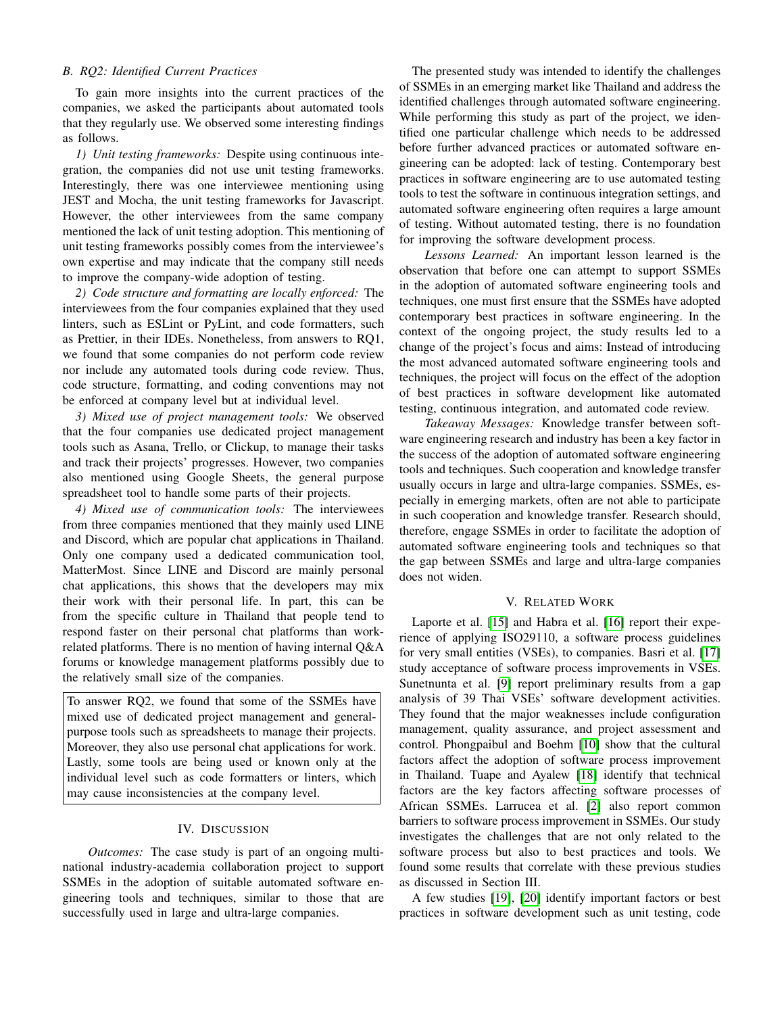## *B. RQ2: Identified Current Practices*

To gain more insights into the current practices of the companies, we asked the participants about automated tools that they regularly use. We observed some interesting findings as follows.

*1) Unit testing frameworks:* Despite using continuous integration, the companies did not use unit testing frameworks. Interestingly, there was one interviewee mentioning using JEST and Mocha, the unit testing frameworks for Javascript. However, the other interviewees from the same company mentioned the lack of unit testing adoption. This mentioning of unit testing frameworks possibly comes from the interviewee's own expertise and may indicate that the company still needs to improve the company-wide adoption of testing.

*2) Code structure and formatting are locally enforced:* The interviewees from the four companies explained that they used linters, such as ESLint or PyLint, and code formatters, such as Prettier, in their IDEs. Nonetheless, from answers to RQ1, we found that some companies do not perform code review nor include any automated tools during code review. Thus, code structure, formatting, and coding conventions may not be enforced at company level but at individual level.

*3) Mixed use of project management tools:* We observed that the four companies use dedicated project management tools such as Asana, Trello, or Clickup, to manage their tasks and track their projects' progresses. However, two companies also mentioned using Google Sheets, the general purpose spreadsheet tool to handle some parts of their projects.

*4) Mixed use of communication tools:* The interviewees from three companies mentioned that they mainly used LINE and Discord, which are popular chat applications in Thailand. Only one company used a dedicated communication tool, MatterMost. Since LINE and Discord are mainly personal chat applications, this shows that the developers may mix their work with their personal life. In part, this can be from the specific culture in Thailand that people tend to respond faster on their personal chat platforms than workrelated platforms. There is no mention of having internal Q&A forums or knowledge management platforms possibly due to the relatively small size of the companies.

To answer RQ2, we found that some of the SSMEs have mixed use of dedicated project management and generalpurpose tools such as spreadsheets to manage their projects. Moreover, they also use personal chat applications for work. Lastly, some tools are being used or known only at the individual level such as code formatters or linters, which may cause inconsistencies at the company level.

## IV. DISCUSSION

*Outcomes:* The case study is part of an ongoing multinational industry-academia collaboration project to support SSMEs in the adoption of suitable automated software engineering tools and techniques, similar to those that are successfully used in large and ultra-large companies.

The presented study was intended to identify the challenges of SSMEs in an emerging market like Thailand and address the identified challenges through automated software engineering. While performing this study as part of the project, we identified one particular challenge which needs to be addressed before further advanced practices or automated software engineering can be adopted: lack of testing. Contemporary best practices in software engineering are to use automated testing tools to test the software in continuous integration settings, and automated software engineering often requires a large amount of testing. Without automated testing, there is no foundation for improving the software development process.

*Lessons Learned:* An important lesson learned is the observation that before one can attempt to support SSMEs in the adoption of automated software engineering tools and techniques, one must first ensure that the SSMEs have adopted contemporary best practices in software engineering. In the context of the ongoing project, the study results led to a change of the project's focus and aims: Instead of introducing the most advanced automated software engineering tools and techniques, the project will focus on the effect of the adoption of best practices in software development like automated testing, continuous integration, and automated code review.

*Takeaway Messages:* Knowledge transfer between software engineering research and industry has been a key factor in the success of the adoption of automated software engineering tools and techniques. Such cooperation and knowledge transfer usually occurs in large and ultra-large companies. SSMEs, especially in emerging markets, often are not able to participate in such cooperation and knowledge transfer. Research should, therefore, engage SSMEs in order to facilitate the adoption of automated software engineering tools and techniques so that the gap between SSMEs and large and ultra-large companies does not widen.

## V. RELATED WORK

Laporte et al. [\[15\]](#page-4-13) and Habra et al. [\[16\]](#page-4-14) report their experience of applying ISO29110, a software process guidelines for very small entities (VSEs), to companies. Basri et al. [\[17\]](#page-4-15) study acceptance of software process improvements in VSEs. Sunetnunta et al. [\[9\]](#page-4-7) report preliminary results from a gap analysis of 39 Thai VSEs' software development activities. They found that the major weaknesses include configuration management, quality assurance, and project assessment and control. Phongpaibul and Boehm [\[10\]](#page-4-8) show that the cultural factors affect the adoption of software process improvement in Thailand. Tuape and Ayalew [\[18\]](#page-4-16) identify that technical factors are the key factors affecting software processes of African SSMEs. Larrucea et al. [\[2\]](#page-4-1) also report common barriers to software process improvement in SSMEs. Our study investigates the challenges that are not only related to the software process but also to best practices and tools. We found some results that correlate with these previous studies as discussed in Section III.

A few studies [\[19\]](#page-4-17), [\[20\]](#page-4-18) identify important factors or best practices in software development such as unit testing, code